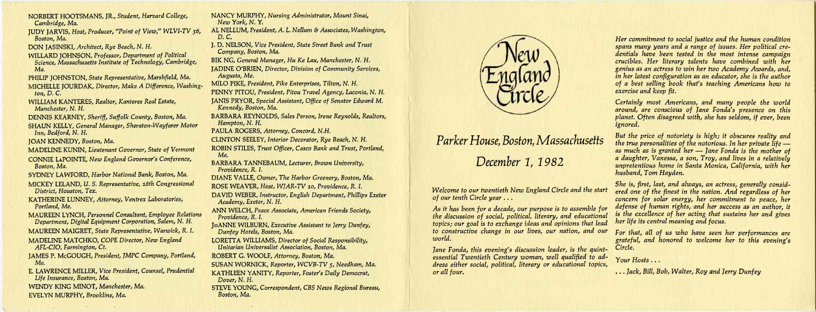NORBERT HOOTSMANS, JR., *Student, Harvard College, Cambridge, Ma.* 

JUDY JARVIS, *Host, Producer, "Point of View," WLVI-TV 56, Boston, Ma.* 

DON JASINSKI, *Architect, Rye Beach, N. H.* 

WILLARD JOHNSON, *Professor, Department of Political Science, Massachusetts Institute of Technology, Cambridge, Ma.* 

PHILIP JOHNSTON, *State Representative, Marshfield, Ma.* 

MICHELLE JOURDAK, *Director, Make A Difference, Washington, D. C.* 

WILLIAM KANTERES, *Realtor, Kanteres Real Estate, Manchester, N. H.* 

DENNIS KEARNEY, *Sheriff, Suffolk County, Boston, Ma.* 

SHAUN KELLY, *General Manager, Sheraton-Wayfarer Motor Inn, Bedford, N. H.* 

JOAN KENNEDY, *Boston, Ma.* 

MADELINE KUNIN, *Lieutenant Governor, State of Vermont* 

CONNIE LAPOINTE, *New England Governor's Conference, Boston, Ma.* 

SYDNEY LAWFORD, *Harbor National Bank, Boston, Ma.* 

MICKEY LELAND, *U. S. Representative, 18th Congressional District, Houston, Tex.* 

KATHERINE LUNNEY, *Attorney, Ventrex Laboratories, Portland, Me.* 

MAUREEN LYNCH, *Personnel Consultant, Employee Relations Department, Digital Equipment Corporation, Salem, N. H.* 

MAUREEN MAIGRET, *State Representative, Warwick, R. I.* 

MADELINE MATCHKO, *COPE Director, New England AFL-CIO, Farmington, Ct.* 

JAMES P. McGOUGH, *President, JMPC Company, Portland, Me.* 

E. LAWRENCE MILLER, *Vice President, Counsel, Prudential Life Insurance, Boston, Ma.* 

WENDY KING MINOT, *Manchester, Ma.*  EVELYN MURPHY, *Brookline, Ma.* 

NANCY MURPHY, *Nursing Administrator, Mount Sinai, New York, N. Y.* 

AL NELLUM, *President, A. L. Nellum & Associates, Washington, D. C.* 

J. D. NELSON, *Vice President, State Street Bank and Trust Company, Boston, Ma.* 

BIK NG, *General Manager, Hu Ke Lau, Manchester, N. H.* 

JADINE O'BRIEN, *Director, Division of Community Services, Augusta, Me.* 

MILO PIKE, *President, Pike Enterprises, Tilton, N. H.* 

PENNY PITOU, *President, Pitou Travel Agency, Laconia, N. H.* 

JANIS PRYOR, *Special Assistant, Office of Senator Edward M. Kennedy, Boston, Ma.* 

BARBARA REYNOLDS, *Sales Person, Irene Reynolds, Realtors, Hampton, N. H.* 

PAULA ROGERS, *Attorney, Concord, N.H.* 

CLINTON SEELEY, *Interior Decorator, Rye Beach, N. H.* 

ROBIN STILES, *Trust Officer, Casco Bank and Trust, Portland, Me.* 

BARBARA TANNEBAUM, *Lecturer, Brown University, Providence, R. I.* 

DIANE VALLE, *Owner, The Harbor Greenery, Boston, Ma.* 

ROSE WEAVER, *Host, WJAR-TV 10, Providence, R. I.* 

DAVID WEBER, *Instructor, English Department, Phillips Exeter Academy, Exeter, N. H.* 

ANN WELCH, *Peace Associate, American Friends Society, Providence, R. I.* 

JoANNE WILBURN, *Executive Assistant to Terry Dunfey, Dunfey Hotels, Boston, Ma.* 

LORETTA WILLIAMS, *Director of Social Responsibility, Unitarian Universalist Association, Boston, Ma.* 

ROBERT G. WOOLF, *Attorney, Boston, Ma.* 

SUSAN WORNICK, *Reporter, WCVB-TV* 5, *Needham, Ma.* 

KATHLEEN YANITY, *Reporter, Foster's Daily Democrat, Dover, N. H.* 

STEVE YOUNG, *Correspondent, CBS News Regional Bureau, Boston, Ma.* 



## *Parker House, Boston, Massachusetts*

*December 1, 1982* 

*Jane Fonda, this evening's discussion leader, is the quintessential Twentieth Century woman, well qualified to address either social, political, literary or educational topics, or all four.* 

*Her commitment to social justice and the human condition spans many years and a range of issues. Her political credentials have been tested in the most intense campaign crucibles. Her literary talents have combined with her genius as an actress to win her two Academy Awards, and, in her latest configuration as an educator, she is the author of a best selling book that's teaching Americans how to exercise and keep fit.* 

*Welcome to our twentieth New England Circle and the start of our tenth Circle year . .. As it has been for a decade, our purpose is to assemble for the discussion of social, political, literary, and educational topics; our goal is to exchange ideas and opinions that lead to constructive change in our lives, our nation, and our world. For that, all of us who have seen her performances are grateful, and honored to welcome her to this evening's Circle.* 

*Certainly most Americans, and many people the world around, are conscious of Jane Fonda's presence on this planet. Often disagreed with, she has seldom, if ever, been ignored.* 

*But the price of notoriety is high; it obscures reality and the true personalities of the notorious. In her private life as much as is granted her — Jane Fonda is the mother of a daughter, Vanessa, a son, Troy, and lives in a relatively unpretentious home in Santa Monica, California, with her husband, Tom Hayden.* 

*She is, first, last, and always, an actress, generally considered one of the finest in the nation. And regardless of her concern for solar energy, her commitment to peace, her defense of human rights, and her success as an author, it is the excellence of her acting that sustains her and gives her life its central meaning and focus.* 

*Your Hosts . . .* 

*.. . Jack, Bill, Bob, Walter, Roy and Jerry Dunfey*